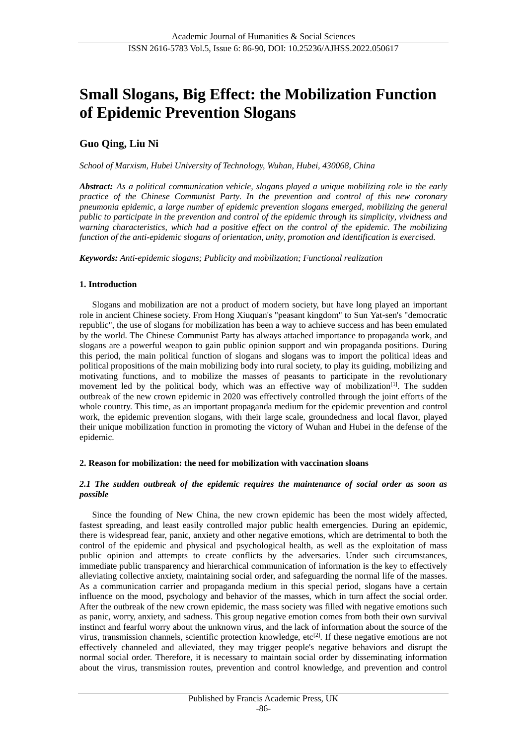# **Small Slogans, Big Effect: the Mobilization Function of Epidemic Prevention Slogans**

## **Guo Qing, Liu Ni**

*School of Marxism, Hubei University of Technology, Wuhan, Hubei, 430068, China*

*Abstract: As a political communication vehicle, slogans played a unique mobilizing role in the early practice of the Chinese Communist Party. In the prevention and control of this new coronary pneumonia epidemic, a large number of epidemic prevention slogans emerged, mobilizing the general public to participate in the prevention and control of the epidemic through its simplicity, vividness and warning characteristics, which had a positive effect on the control of the epidemic. The mobilizing function of the anti-epidemic slogans of orientation, unity, promotion and identification is exercised.*

*Keywords: Anti-epidemic slogans; Publicity and mobilization; Functional realization*

## **1. Introduction**

Slogans and mobilization are not a product of modern society, but have long played an important role in ancient Chinese society. From Hong Xiuquan's "peasant kingdom" to Sun Yat-sen's "democratic republic", the use of slogans for mobilization has been a way to achieve success and has been emulated by the world. The Chinese Communist Party has always attached importance to propaganda work, and slogans are a powerful weapon to gain public opinion support and win propaganda positions. During this period, the main political function of slogans and slogans was to import the political ideas and political propositions of the main mobilizing body into rural society, to play its guiding, mobilizing and motivating functions, and to mobilize the masses of peasants to participate in the revolutionary movement led by the political body, which was an effective way of mobilization<sup>[1]</sup>. The sudden outbreak of the new crown epidemic in 2020 was effectively controlled through the joint efforts of the whole country. This time, as an important propaganda medium for the epidemic prevention and control work, the epidemic prevention slogans, with their large scale, groundedness and local flavor, played their unique mobilization function in promoting the victory of Wuhan and Hubei in the defense of the epidemic.

## **2. Reason for mobilization: the need for mobilization with vaccination sloans**

## *2.1 The sudden outbreak of the epidemic requires the maintenance of social order as soon as possible*

Since the founding of New China, the new crown epidemic has been the most widely affected, fastest spreading, and least easily controlled major public health emergencies. During an epidemic, there is widespread fear, panic, anxiety and other negative emotions, which are detrimental to both the control of the epidemic and physical and psychological health, as well as the exploitation of mass public opinion and attempts to create conflicts by the adversaries. Under such circumstances, immediate public transparency and hierarchical communication of information is the key to effectively alleviating collective anxiety, maintaining social order, and safeguarding the normal life of the masses. As a communication carrier and propaganda medium in this special period, slogans have a certain influence on the mood, psychology and behavior of the masses, which in turn affect the social order. After the outbreak of the new crown epidemic, the mass society was filled with negative emotions such as panic, worry, anxiety, and sadness. This group negative emotion comes from both their own survival instinct and fearful worry about the unknown virus, and the lack of information about the source of the virus, transmission channels, scientific protection knowledge, etc<sup>[2]</sup>. If these negative emotions are not effectively channeled and alleviated, they may trigger people's negative behaviors and disrupt the normal social order. Therefore, it is necessary to maintain social order by disseminating information about the virus, transmission routes, prevention and control knowledge, and prevention and control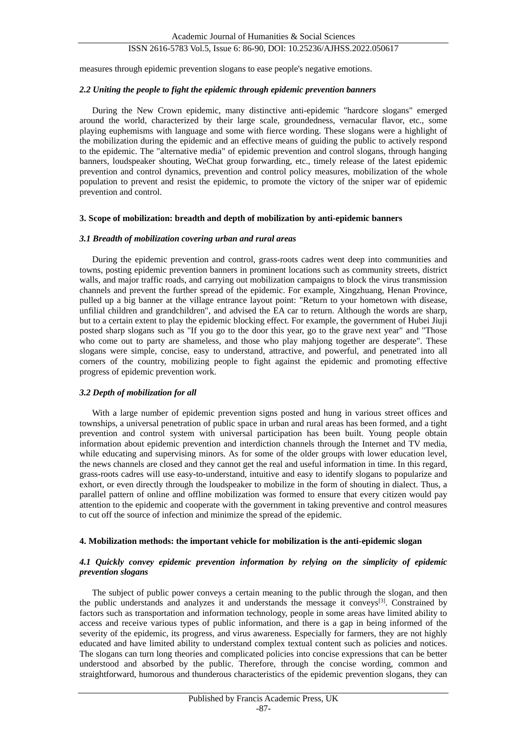## ISSN 2616-5783 Vol.5, Issue 6: 86-90, DOI: 10.25236/AJHSS.2022.050617

measures through epidemic prevention slogans to ease people's negative emotions.

## *2.2 Uniting the people to fight the epidemic through epidemic prevention banners*

During the New Crown epidemic, many distinctive anti-epidemic "hardcore slogans" emerged around the world, characterized by their large scale, groundedness, vernacular flavor, etc., some playing euphemisms with language and some with fierce wording. These slogans were a highlight of the mobilization during the epidemic and an effective means of guiding the public to actively respond to the epidemic. The "alternative media" of epidemic prevention and control slogans, through hanging banners, loudspeaker shouting, WeChat group forwarding, etc., timely release of the latest epidemic prevention and control dynamics, prevention and control policy measures, mobilization of the whole population to prevent and resist the epidemic, to promote the victory of the sniper war of epidemic prevention and control.

#### **3. Scope of mobilization: breadth and depth of mobilization by anti-epidemic banners**

#### *3.1 Breadth of mobilization covering urban and rural areas*

During the epidemic prevention and control, grass-roots cadres went deep into communities and towns, posting epidemic prevention banners in prominent locations such as community streets, district walls, and major traffic roads, and carrying out mobilization campaigns to block the virus transmission channels and prevent the further spread of the epidemic. For example, Xingzhuang, Henan Province, pulled up a big banner at the village entrance layout point: "Return to your hometown with disease, unfilial children and grandchildren", and advised the EA car to return. Although the words are sharp, but to a certain extent to play the epidemic blocking effect. For example, the government of Hubei Jiuji posted sharp slogans such as "If you go to the door this year, go to the grave next year" and "Those who come out to party are shameless, and those who play mahjong together are desperate". These slogans were simple, concise, easy to understand, attractive, and powerful, and penetrated into all corners of the country, mobilizing people to fight against the epidemic and promoting effective progress of epidemic prevention work.

## *3.2 Depth of mobilization for all*

With a large number of epidemic prevention signs posted and hung in various street offices and townships, a universal penetration of public space in urban and rural areas has been formed, and a tight prevention and control system with universal participation has been built. Young people obtain information about epidemic prevention and interdiction channels through the Internet and TV media, while educating and supervising minors. As for some of the older groups with lower education level, the news channels are closed and they cannot get the real and useful information in time. In this regard, grass-roots cadres will use easy-to-understand, intuitive and easy to identify slogans to popularize and exhort, or even directly through the loudspeaker to mobilize in the form of shouting in dialect. Thus, a parallel pattern of online and offline mobilization was formed to ensure that every citizen would pay attention to the epidemic and cooperate with the government in taking preventive and control measures to cut off the source of infection and minimize the spread of the epidemic.

## **4. Mobilization methods: the important vehicle for mobilization is the anti-epidemic slogan**

## *4.1 Quickly convey epidemic prevention information by relying on the simplicity of epidemic prevention slogans*

The subject of public power conveys a certain meaning to the public through the slogan, and then the public understands and analyzes it and understands the message it conveys<sup>[3]</sup>. Constrained by factors such as transportation and information technology, people in some areas have limited ability to access and receive various types of public information, and there is a gap in being informed of the severity of the epidemic, its progress, and virus awareness. Especially for farmers, they are not highly educated and have limited ability to understand complex textual content such as policies and notices. The slogans can turn long theories and complicated policies into concise expressions that can be better understood and absorbed by the public. Therefore, through the concise wording, common and straightforward, humorous and thunderous characteristics of the epidemic prevention slogans, they can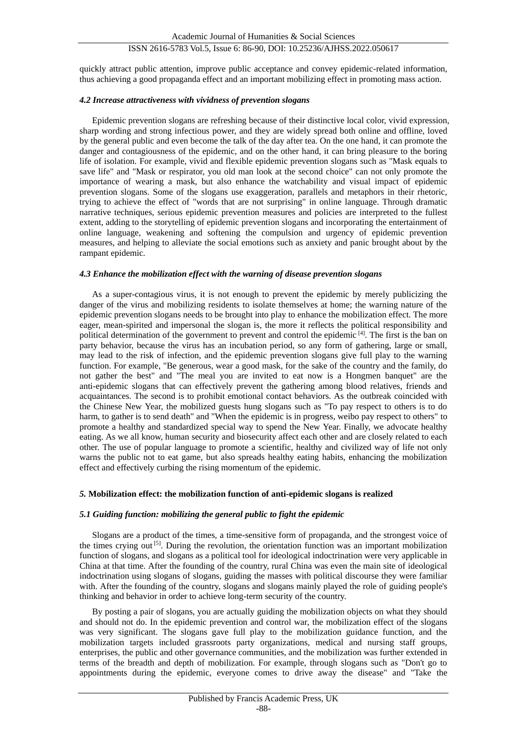## ISSN 2616-5783 Vol.5, Issue 6: 86-90, DOI: 10.25236/AJHSS.2022.050617

quickly attract public attention, improve public acceptance and convey epidemic-related information, thus achieving a good propaganda effect and an important mobilizing effect in promoting mass action.

#### *4.2 Increase attractiveness with vividness of prevention slogans*

Epidemic prevention slogans are refreshing because of their distinctive local color, vivid expression, sharp wording and strong infectious power, and they are widely spread both online and offline, loved by the general public and even become the talk of the day after tea. On the one hand, it can promote the danger and contagiousness of the epidemic, and on the other hand, it can bring pleasure to the boring life of isolation. For example, vivid and flexible epidemic prevention slogans such as "Mask equals to save life" and "Mask or respirator, you old man look at the second choice" can not only promote the importance of wearing a mask, but also enhance the watchability and visual impact of epidemic prevention slogans. Some of the slogans use exaggeration, parallels and metaphors in their rhetoric, trying to achieve the effect of "words that are not surprising" in online language. Through dramatic narrative techniques, serious epidemic prevention measures and policies are interpreted to the fullest extent, adding to the storytelling of epidemic prevention slogans and incorporating the entertainment of online language, weakening and softening the compulsion and urgency of epidemic prevention measures, and helping to alleviate the social emotions such as anxiety and panic brought about by the rampant epidemic.

#### *4.3 Enhance the mobilization effect with the warning of disease prevention slogans*

As a super-contagious virus, it is not enough to prevent the epidemic by merely publicizing the danger of the virus and mobilizing residents to isolate themselves at home; the warning nature of the epidemic prevention slogans needs to be brought into play to enhance the mobilization effect. The more eager, mean-spirited and impersonal the slogan is, the more it reflects the political responsibility and political determination of the government to prevent and control the epidemic <sup>[4]</sup>. The first is the ban on party behavior, because the virus has an incubation period, so any form of gathering, large or small, may lead to the risk of infection, and the epidemic prevention slogans give full play to the warning function. For example, "Be generous, wear a good mask, for the sake of the country and the family, do not gather the best" and "The meal you are invited to eat now is a Hongmen banquet" are the anti-epidemic slogans that can effectively prevent the gathering among blood relatives, friends and acquaintances. The second is to prohibit emotional contact behaviors. As the outbreak coincided with the Chinese New Year, the mobilized guests hung slogans such as "To pay respect to others is to do harm, to gather is to send death" and "When the epidemic is in progress, weibo pay respect to others" to promote a healthy and standardized special way to spend the New Year. Finally, we advocate healthy eating. As we all know, human security and biosecurity affect each other and are closely related to each other. The use of popular language to promote a scientific, healthy and civilized way of life not only warns the public not to eat game, but also spreads healthy eating habits, enhancing the mobilization effect and effectively curbing the rising momentum of the epidemic.

## *5.* **Mobilization effect: the mobilization function of anti-epidemic slogans is realized**

## *5.1 Guiding function: mobilizing the general public to fight the epidemic*

Slogans are a product of the times, a time-sensitive form of propaganda, and the strongest voice of the times crying out  $[5]$ . During the revolution, the orientation function was an important mobilization function of slogans, and slogans as a political tool for ideological indoctrination were very applicable in China at that time. After the founding of the country, rural China was even the main site of ideological indoctrination using slogans of slogans, guiding the masses with political discourse they were familiar with. After the founding of the country, slogans and slogans mainly played the role of guiding people's thinking and behavior in order to achieve long-term security of the country.

By posting a pair of slogans, you are actually guiding the mobilization objects on what they should and should not do. In the epidemic prevention and control war, the mobilization effect of the slogans was very significant. The slogans gave full play to the mobilization guidance function, and the mobilization targets included grassroots party organizations, medical and nursing staff groups, enterprises, the public and other governance communities, and the mobilization was further extended in terms of the breadth and depth of mobilization. For example, through slogans such as "Don't go to appointments during the epidemic, everyone comes to drive away the disease" and "Take the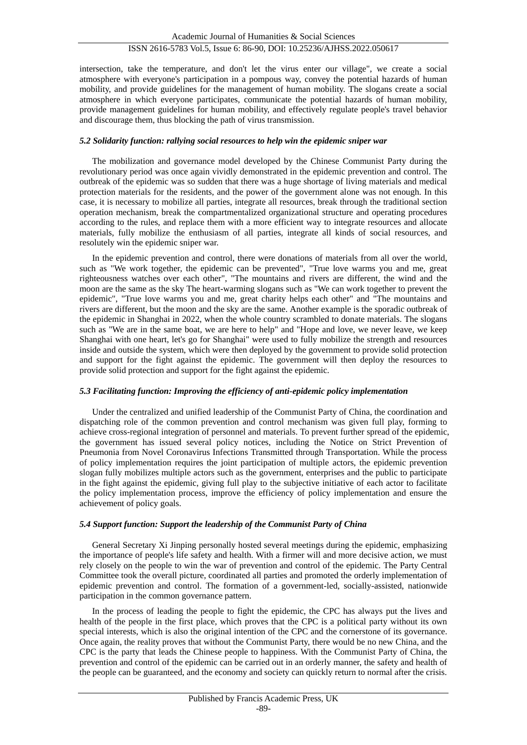intersection, take the temperature, and don't let the virus enter our village", we create a social atmosphere with everyone's participation in a pompous way, convey the potential hazards of human mobility, and provide guidelines for the management of human mobility. The slogans create a social atmosphere in which everyone participates, communicate the potential hazards of human mobility, provide management guidelines for human mobility, and effectively regulate people's travel behavior and discourage them, thus blocking the path of virus transmission.

## *5.2 Solidarity function: rallying social resources to help win the epidemic sniper war*

The mobilization and governance model developed by the Chinese Communist Party during the revolutionary period was once again vividly demonstrated in the epidemic prevention and control. The outbreak of the epidemic was so sudden that there was a huge shortage of living materials and medical protection materials for the residents, and the power of the government alone was not enough. In this case, it is necessary to mobilize all parties, integrate all resources, break through the traditional section operation mechanism, break the compartmentalized organizational structure and operating procedures according to the rules, and replace them with a more efficient way to integrate resources and allocate materials, fully mobilize the enthusiasm of all parties, integrate all kinds of social resources, and resolutely win the epidemic sniper war.

In the epidemic prevention and control, there were donations of materials from all over the world, such as "We work together, the epidemic can be prevented", "True love warms you and me, great righteousness watches over each other", "The mountains and rivers are different, the wind and the moon are the same as the sky The heart-warming slogans such as "We can work together to prevent the epidemic", "True love warms you and me, great charity helps each other" and "The mountains and rivers are different, but the moon and the sky are the same. Another example is the sporadic outbreak of the epidemic in Shanghai in 2022, when the whole country scrambled to donate materials. The slogans such as "We are in the same boat, we are here to help" and "Hope and love, we never leave, we keep Shanghai with one heart, let's go for Shanghai" were used to fully mobilize the strength and resources inside and outside the system, which were then deployed by the government to provide solid protection and support for the fight against the epidemic. The government will then deploy the resources to provide solid protection and support for the fight against the epidemic.

## *5.3 Facilitating function: Improving the efficiency of anti-epidemic policy implementation*

Under the centralized and unified leadership of the Communist Party of China, the coordination and dispatching role of the common prevention and control mechanism was given full play, forming to achieve cross-regional integration of personnel and materials. To prevent further spread of the epidemic, the government has issued several policy notices, including the Notice on Strict Prevention of Pneumonia from Novel Coronavirus Infections Transmitted through Transportation. While the process of policy implementation requires the joint participation of multiple actors, the epidemic prevention slogan fully mobilizes multiple actors such as the government, enterprises and the public to participate in the fight against the epidemic, giving full play to the subjective initiative of each actor to facilitate the policy implementation process, improve the efficiency of policy implementation and ensure the achievement of policy goals.

## *5.4 Support function: Support the leadership of the Communist Party of China*

General Secretary Xi Jinping personally hosted several meetings during the epidemic, emphasizing the importance of people's life safety and health. With a firmer will and more decisive action, we must rely closely on the people to win the war of prevention and control of the epidemic. The Party Central Committee took the overall picture, coordinated all parties and promoted the orderly implementation of epidemic prevention and control. The formation of a government-led, socially-assisted, nationwide participation in the common governance pattern.

In the process of leading the people to fight the epidemic, the CPC has always put the lives and health of the people in the first place, which proves that the CPC is a political party without its own special interests, which is also the original intention of the CPC and the cornerstone of its governance. Once again, the reality proves that without the Communist Party, there would be no new China, and the CPC is the party that leads the Chinese people to happiness. With the Communist Party of China, the prevention and control of the epidemic can be carried out in an orderly manner, the safety and health of the people can be guaranteed, and the economy and society can quickly return to normal after the crisis.